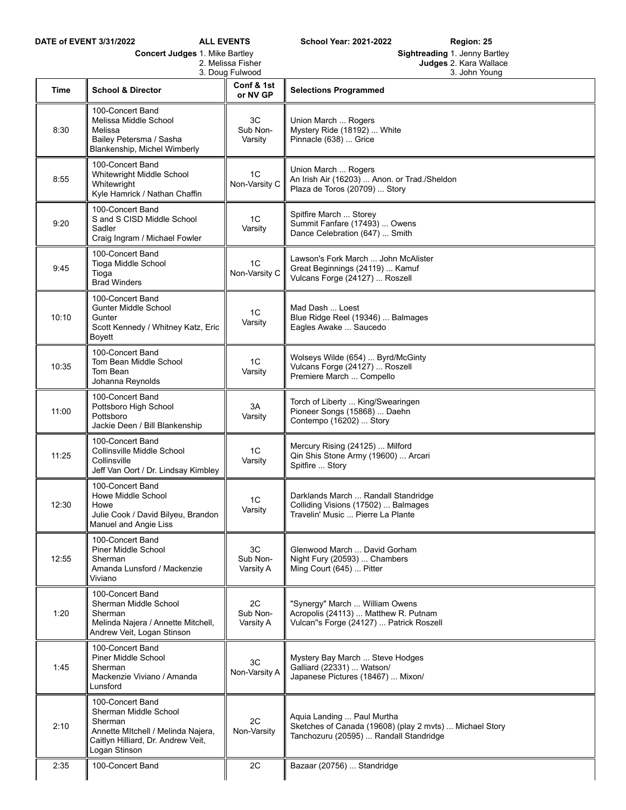| <b>Concert Judges 1. Mike Bartley</b> |                                                                                                                                                   |                             | Sightreading 1. Jenny Bartley                                                                                                   |
|---------------------------------------|---------------------------------------------------------------------------------------------------------------------------------------------------|-----------------------------|---------------------------------------------------------------------------------------------------------------------------------|
| 2. Melissa Fisher<br>3. Doug Fulwood  |                                                                                                                                                   |                             | Judges 2. Kara Wallace<br>3. John Young                                                                                         |
| Time                                  | <b>School &amp; Director</b>                                                                                                                      | Conf & 1st<br>or NV GP      | <b>Selections Programmed</b>                                                                                                    |
| 8:30                                  | 100-Concert Band<br>Melissa Middle School<br>Melissa<br>Bailey Petersma / Sasha<br>Blankenship, Michel Wimberly                                   | 3C<br>Sub Non-<br>Varsity   | Union March  Rogers<br>Mystery Ride (18192)  White<br>Pinnacle (638)  Grice                                                     |
| 8:55                                  | 100-Concert Band<br>Whitewright Middle School<br>Whitewright<br>Kyle Hamrick / Nathan Chaffin                                                     | 1C<br>Non-Varsity C         | Union March  Rogers<br>An Irish Air (16203)  Anon. or Trad./Sheldon<br>Plaza de Toros (20709)  Story                            |
| 9:20                                  | 100-Concert Band<br>S and S CISD Middle School<br>Sadler<br>Craig Ingram / Michael Fowler                                                         | 1C<br>Varsity               | Spitfire March  Storey<br>Summit Fanfare (17493)  Owens<br>Dance Celebration (647)  Smith                                       |
| 9:45                                  | 100-Concert Band<br>Tioga Middle School<br>Tioga<br><b>Brad Winders</b>                                                                           | 1C<br>Non-Varsity C         | Lawson's Fork March  John McAlister<br>Great Beginnings (24119)  Kamuf<br>Vulcans Forge (24127)  Roszell                        |
| 10:10                                 | 100-Concert Band<br><b>Gunter Middle School</b><br>Gunter<br>Scott Kennedy / Whitney Katz, Eric<br>Boyett                                         | 1C<br>Varsity               | Mad Dash  Loest<br>Blue Ridge Reel (19346)  Balmages<br>Eagles Awake  Saucedo                                                   |
| 10:35                                 | 100-Concert Band<br>Tom Bean Middle School<br>Tom Bean<br>Johanna Reynolds                                                                        | 1 <sup>C</sup><br>Varsity   | Wolseys Wilde (654)  Byrd/McGinty<br>Vulcans Forge (24127)  Roszell<br>Premiere March  Compello                                 |
| 11:00                                 | 100-Concert Band<br>Pottsboro High School<br>Pottsboro<br>Jackie Deen / Bill Blankenship                                                          | 3A<br>Varsity               | Torch of Liberty  King/Swearingen<br>Pioneer Songs (15868)  Daehn<br>Contempo (16202)  Story                                    |
| 11:25                                 | 100-Concert Band<br>Collinsville Middle School<br>Collinsville<br>Jeff Van Oort / Dr. Lindsay Kimbley                                             | 1C<br>Varsity               | Mercury Rising (24125)  Milford<br>Qin Shis Stone Army (19600)  Arcari<br>Spitfire  Story                                       |
| 12:30                                 | 100-Concert Band<br>Howe Middle School<br>Howe<br>Julie Cook / David Bilyeu, Brandon<br>Manuel and Angie Liss                                     | 1C<br>Varsity               | Darklands March  Randall Standridge<br>Colliding Visions (17502)  Balmages<br>Travelin' Music  Pierre La Plante                 |
| 12:55                                 | 100-Concert Band<br>Piner Middle School<br>Sherman<br>Amanda Lunsford / Mackenzie<br>Viviano                                                      | 3C<br>Sub Non-<br>Varsity A | Glenwood March  David Gorham<br>Night Fury (20593)  Chambers<br>Ming Court (645)  Pitter                                        |
| 1:20                                  | 100-Concert Band<br>Sherman Middle School<br>Sherman<br>Melinda Najera / Annette Mitchell,<br>Andrew Veit, Logan Stinson                          | 2C<br>Sub Non-<br>Varsity A | "Synergy" March  William Owens<br>Acropolis (24113)  Matthew R. Putnam<br>Vulcan"s Forge (24127)  Patrick Roszell               |
| 1:45                                  | 100-Concert Band<br>Piner Middle School<br>Sherman<br>Mackenzie Viviano / Amanda<br>Lunsford                                                      | 3C<br>Non-Varsity A         | Mystery Bay March  Steve Hodges<br>Galliard (22331)  Watson/<br>Japanese Pictures (18467)  Mixon/                               |
| 2:10                                  | 100-Concert Band<br>Sherman Middle School<br>Sherman<br>Annette Mitchell / Melinda Najera,<br>Caitlyn Hilliard, Dr. Andrew Veit,<br>Logan Stinson | 2C<br>Non-Varsity           | Aquia Landing  Paul Murtha<br>Sketches of Canada (19608) (play 2 mvts)  Michael Story<br>Tanchozuru (20595)  Randall Standridge |
| 2:35                                  | 100-Concert Band                                                                                                                                  | 2C                          | Bazaar (20756)  Standridge                                                                                                      |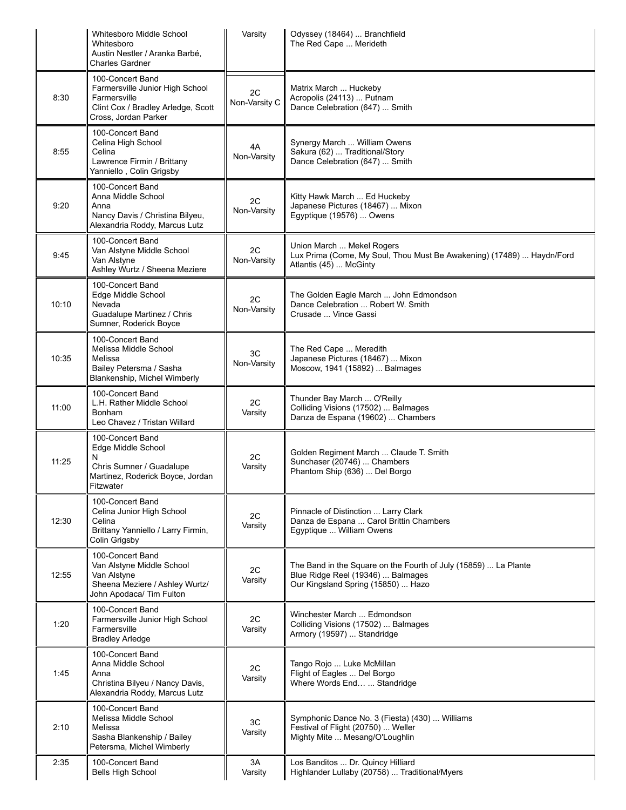|       | <b>Whitesboro Middle School</b><br>Whitesboro<br>Austin Nestler / Aranka Barbé,<br><b>Charles Gardner</b>                         | Varsity             | Odyssey (18464)  Branchfield<br>The Red Cape  Merideth                                                                                     |
|-------|-----------------------------------------------------------------------------------------------------------------------------------|---------------------|--------------------------------------------------------------------------------------------------------------------------------------------|
| 8:30  | 100-Concert Band<br>Farmersville Junior High School<br>Farmersville<br>Clint Cox / Bradley Arledge, Scott<br>Cross, Jordan Parker | 2C<br>Non-Varsity C | Matrix March  Huckeby<br>Acropolis (24113)  Putnam<br>Dance Celebration (647)  Smith                                                       |
| 8:55  | 100-Concert Band<br>Celina High School<br>Celina<br>Lawrence Firmin / Brittany<br>Yanniello, Colin Grigsby                        | 4A<br>Non-Varsity   | Synergy March  William Owens<br>Sakura (62)  Traditional/Story<br>Dance Celebration (647)  Smith                                           |
| 9:20  | 100-Concert Band<br>Anna Middle School<br>Anna<br>Nancy Davis / Christina Bilyeu,<br>Alexandria Roddy, Marcus Lutz                | 2C<br>Non-Varsity   | Kitty Hawk March  Ed Huckeby<br>Japanese Pictures (18467)  Mixon<br>Egyptique (19576)  Owens                                               |
| 9:45  | 100-Concert Band<br>Van Alstyne Middle School<br>Van Alstyne<br>Ashley Wurtz / Sheena Meziere                                     | 2C<br>Non-Varsity   | Union March  Mekel Rogers<br>Lux Prima (Come, My Soul, Thou Must Be Awakening) (17489)  Haydn/Ford<br>Atlantis (45)  McGinty               |
| 10:10 | 100-Concert Band<br>Edge Middle School<br>Nevada<br>Guadalupe Martinez / Chris<br>Sumner, Roderick Boyce                          | 2C<br>Non-Varsity   | The Golden Eagle March  John Edmondson<br>Dance Celebration  Robert W. Smith<br>Crusade  Vince Gassi                                       |
| 10:35 | 100-Concert Band<br>Melissa Middle School<br>Melissa<br>Bailey Petersma / Sasha<br>Blankenship, Michel Wimberly                   | 3C<br>Non-Varsity   | The Red Cape  Meredith<br>Japanese Pictures (18467)  Mixon<br>Moscow, 1941 (15892)  Balmages                                               |
| 11:00 | 100-Concert Band<br>L.H. Rather Middle School<br><b>Bonham</b><br>Leo Chavez / Tristan Willard                                    | 2C<br>Varsity       | Thunder Bay March  O'Reilly<br>Colliding Visions (17502)  Balmages<br>Danza de Espana (19602)  Chambers                                    |
| 11:25 | 100-Concert Band<br>Edge Middle School<br>N<br>Chris Sumner / Guadalupe<br>Martinez, Roderick Boyce, Jordan<br>Fitzwater          | 2C<br>Varsity       | Golden Regiment March  Claude T. Smith<br>Sunchaser (20746)  Chambers<br>Phantom Ship (636)  Del Borgo                                     |
| 12:30 | 100-Concert Band<br>Celina Junior High School<br>Celina<br>Brittany Yanniello / Larry Firmin,<br>Colin Grigsby                    | 2C<br>Varsity       | Pinnacle of Distinction  Larry Clark<br>Danza de Espana  Carol Brittin Chambers<br>Egyptique  William Owens                                |
| 12:55 | 100-Concert Band<br>Van Alstyne Middle School<br>Van Alstyne<br>Sheena Meziere / Ashley Wurtz/<br>John Apodaca/ Tim Fulton        | 2C<br>Varsity       | The Band in the Square on the Fourth of July (15859)  La Plante<br>Blue Ridge Reel (19346)  Balmages<br>Our Kingsland Spring (15850)  Hazo |
| 1:20  | 100-Concert Band<br>Farmersville Junior High School<br>Farmersville<br><b>Bradley Arledge</b>                                     | 2C<br>Varsity       | Winchester March  Edmondson<br>Colliding Visions (17502)  Balmages<br>Armory (19597)  Standridge                                           |
| 1:45  | 100-Concert Band<br>Anna Middle School<br>Anna<br>Christina Bilyeu / Nancy Davis,<br>Alexandria Roddy, Marcus Lutz                | 2C<br>Varsity       | Tango Rojo  Luke McMillan<br>Flight of Eagles  Del Borgo<br>Where Words End  Standridge                                                    |
| 2:10  | 100-Concert Band<br>Melissa Middle School<br>Melissa<br>Sasha Blankenship / Bailey<br>Petersma, Michel Wimberly                   | 3C<br>Varsity       | Symphonic Dance No. 3 (Fiesta) (430)  Williams<br>Festival of Flight (20750)  Weller<br>Mighty Mite  Mesang/O'Loughlin                     |
| 2:35  | 100-Concert Band<br><b>Bells High School</b>                                                                                      | 3A<br>Varsity       | Los Banditos  Dr. Quincy Hilliard<br>Highlander Lullaby (20758)  Traditional/Myers                                                         |